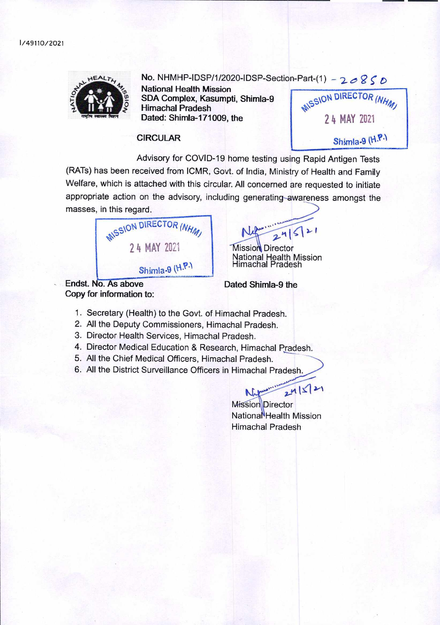<sup>1</sup> /49110/2021



# **No. NHMHP-IDSP/1/2020-IDSP-Section-Part-(1) -**  $20850$

**National Health Mission SDA Complex, Kasumpti, Shimla-9 Himachal Pradesh Dated: Shimla**-171009, the

**MISSION DIRECTOR (NHM)** 24 MAY 2021 Shimla-9 (H.P.)

#### **CIRCULAR**

Advisory for COVID-19 home testing using Rapid Antigen Tests (RATs) has been received from ICMR, Govt. of India, Ministry of Health and Family Welfare, which is attached with this circular. All concerned are requested to initiate appropriate action on the advisory, including generating-awareness amongst the masses, in this regard.



 $245$ 

**Mission** Director National Health Mission Himachal Pradesh

Endst. **Dated Shimla-9 the Copy for information to:** 

- 1. Secretary (Health) to the Govt. of Himachal Pradesh.
- 2. All the Deputy Commissioners, Himachal Pradesh.
- 3. Director Health Services, Himachal Pradesh.
- 4. Director Medical Education & Research, Himachal Pradesh.
- 5. All the Chief Medical Officers, Himachal Pradesh.
- 6. All the District Surveillance Officers in Himachal Pradesh.

 $24|521$ Mission Director Nationa<sup>N</sup>Health Mission Himachal Pradesh